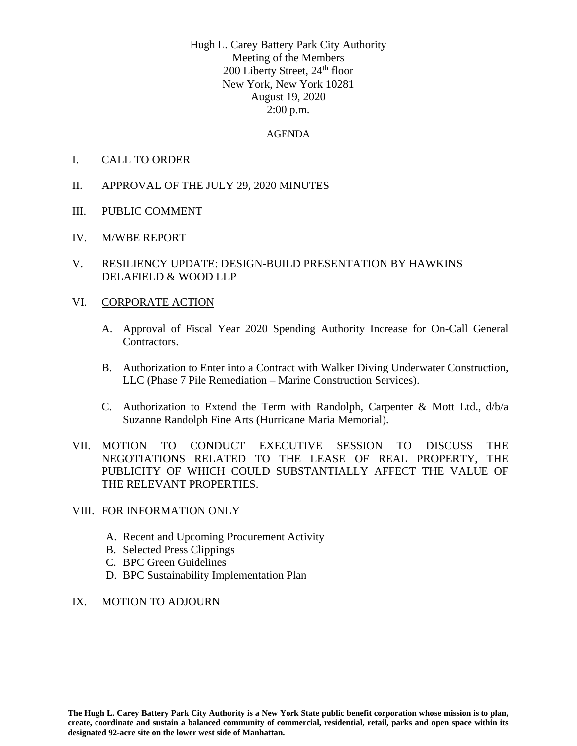Hugh L. Carey Battery Park City Authority Meeting of the Members 200 Liberty Street, 24<sup>th</sup> floor New York, New York 10281 August 19, 2020 2:00 p.m.

#### AGENDA

- I. CALL TO ORDER
- II. APPROVAL OF THE JULY 29, 2020 MINUTES
- III. PUBLIC COMMENT
- IV. M/WBE REPORT
- V. RESILIENCY UPDATE: DESIGN-BUILD PRESENTATION BY HAWKINS DELAFIELD & WOOD LLP

#### VI. CORPORATE ACTION

- A. Approval of Fiscal Year 2020 Spending Authority Increase for On-Call General Contractors.
- B. Authorization to Enter into a Contract with Walker Diving Underwater Construction, LLC (Phase 7 Pile Remediation – Marine Construction Services).
- C. Authorization to Extend the Term with Randolph, Carpenter & Mott Ltd.,  $d/b/a$ Suzanne Randolph Fine Arts (Hurricane Maria Memorial).
- VII. MOTION TO CONDUCT EXECUTIVE SESSION TO DISCUSS THE NEGOTIATIONS RELATED TO THE LEASE OF REAL PROPERTY, THE PUBLICITY OF WHICH COULD SUBSTANTIALLY AFFECT THE VALUE OF THE RELEVANT PROPERTIES.

#### VIII. FOR INFORMATION ONLY

- A. Recent and Upcoming Procurement Activity
- B. Selected Press Clippings
- C. BPC Green Guidelines
- D. BPC Sustainability Implementation Plan
- IX. MOTION TO ADJOURN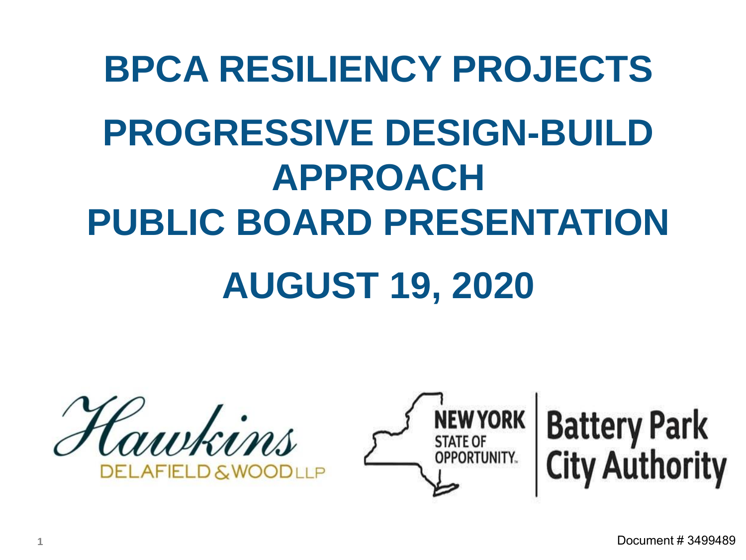## **BPCA RESILIENCY PROJECTS PROGRESSIVE DESIGN-BUILD APPROACH PUBLIC BOARD PRESENTATION**

### **AUGUST 19, 2020**

Hawkins **ELAFIELD & WOODLI P** 



# **Battery Park**<br>City Authority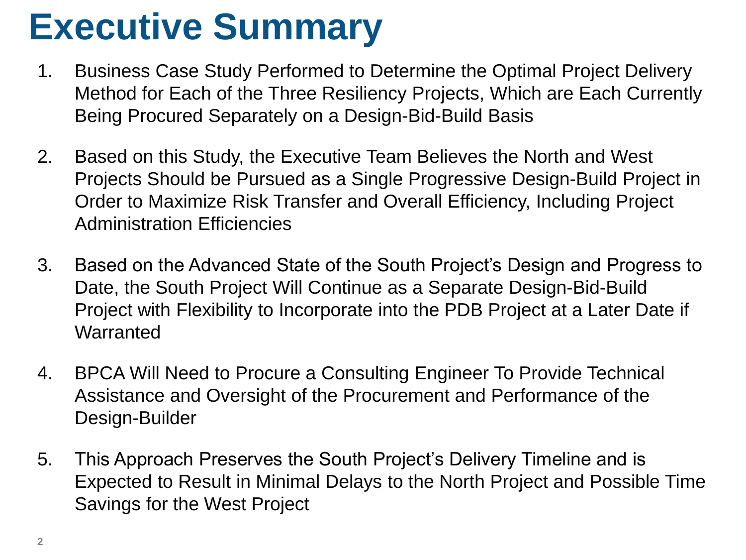### **Executive Summary**

- 1. Business Case Study Performed to Determine the Optimal Project Delivery Method for Each of the Three Resiliency Projects, Which are Each Currently Being Procured Separately on a Design-Bid-Build Basis
- 2. Based on this Study, the Executive Team Believes the North and West Projects Should be Pursued as a Single Progressive Design-Build Project in Order to Maximize Risk Transfer and Overall Efficiency, Including Project Administration Efficiencies
- 3. Based on the Advanced State of the South Project's Design and Progress to Date, the South Project Will Continue as a Separate Design-Bid-Build Project with Flexibility to Incorporate into the PDB Project at a Later Date if **Warranted**
- 4. BPCA Will Need to Procure a Consulting Engineer To Provide Technical Assistance and Oversight of the Procurement and Performance of the Design-Builder
- 5. This Approach Preserves the South Project's Delivery Timeline and is Expected to Result in Minimal Delays to the North Project and Possible Time Savings for the West Project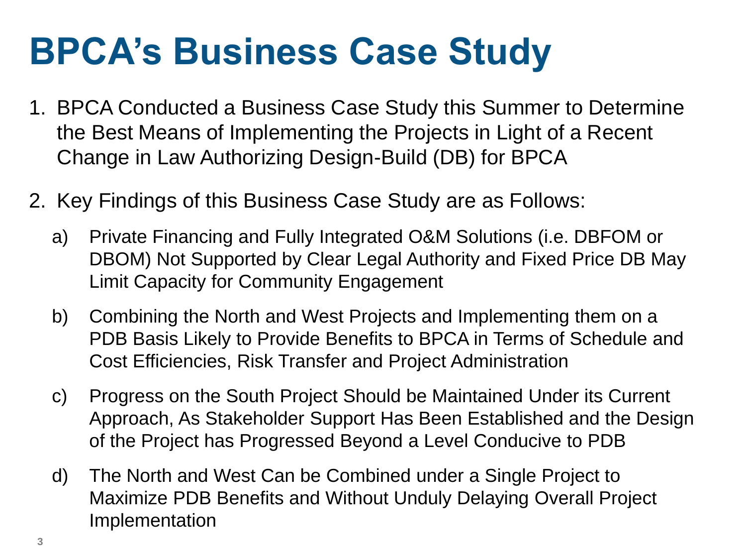### **BPCA's Business Case Study**

- 1. BPCA Conducted a Business Case Study this Summer to Determine the Best Means of Implementing the Projects in Light of a Recent Change in Law Authorizing Design-Build (DB) for BPCA
- 2. Key Findings of this Business Case Study are as Follows:
	- a) Private Financing and Fully Integrated O&M Solutions (i.e. DBFOM or DBOM) Not Supported by Clear Legal Authority and Fixed Price DB May Limit Capacity for Community Engagement
	- b) Combining the North and West Projects and Implementing them on a PDB Basis Likely to Provide Benefits to BPCA in Terms of Schedule and Cost Efficiencies, Risk Transfer and Project Administration
	- c) Progress on the South Project Should be Maintained Under its Current Approach, As Stakeholder Support Has Been Established and the Design of the Project has Progressed Beyond a Level Conducive to PDB
	- d) The North and West Can be Combined under a Single Project to Maximize PDB Benefits and Without Unduly Delaying Overall Project Implementation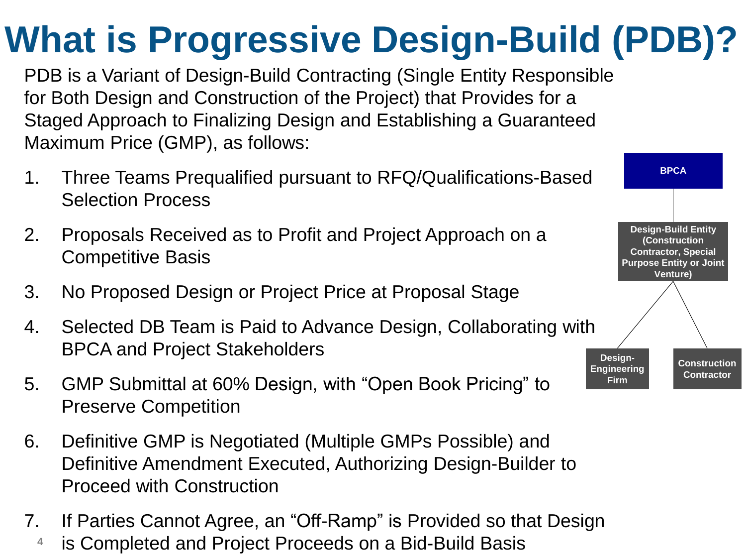### **What is Progressive Design-Build (PDB)?**

PDB is a Variant of Design-Build Contracting (Single Entity Responsible for Both Design and Construction of the Project) that Provides for a Staged Approach to Finalizing Design and Establishing a Guaranteed Maximum Price (GMP), as follows:

- 1. Three Teams Prequalified pursuant to RFQ/Qualifications-Based Selection Process
- 2. Proposals Received as to Profit and Project Approach on a Competitive Basis
- 3. No Proposed Design or Project Price at Proposal Stage
- 4. Selected DB Team is Paid to Advance Design, Collaborating with BPCA and Project Stakeholders
- 5. GMP Submittal at 60% Design, with "Open Book Pricing" to Preserve Competition
- 6. Definitive GMP is Negotiated (Multiple GMPs Possible) and Definitive Amendment Executed, Authorizing Design-Builder to Proceed with Construction
- 7. If Parties Cannot Agree, an "Off-Ramp" is Provided so that Design
	- **4** is Completed and Project Proceeds on a Bid-Build Basis

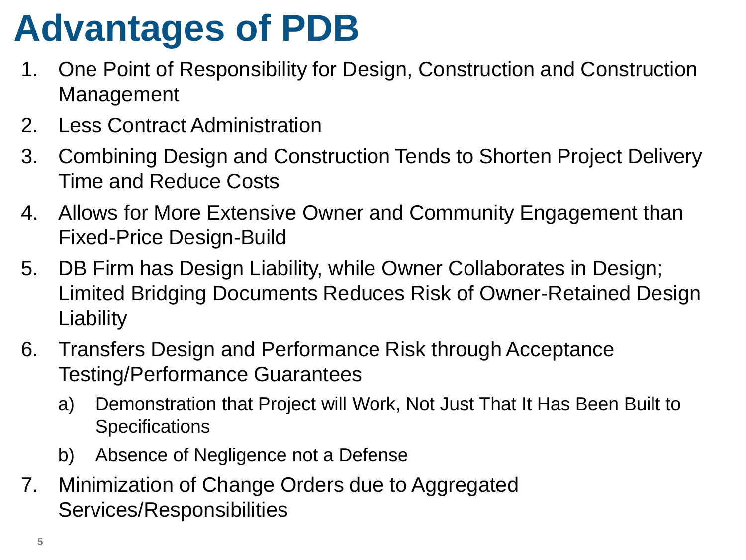### **Advantages of PDB**

- 1. One Point of Responsibility for Design, Construction and Construction Management
- 2. Less Contract Administration
- 3. Combining Design and Construction Tends to Shorten Project Delivery Time and Reduce Costs
- 4. Allows for More Extensive Owner and Community Engagement than Fixed-Price Design-Build
- 5. DB Firm has Design Liability, while Owner Collaborates in Design; Limited Bridging Documents Reduces Risk of Owner-Retained Design **Liability**
- 6. Transfers Design and Performance Risk through Acceptance Testing/Performance Guarantees
	- a) Demonstration that Project will Work, Not Just That It Has Been Built to **Specifications**
	- b) Absence of Negligence not a Defense
- 7. Minimization of Change Orders due to Aggregated Services/Responsibilities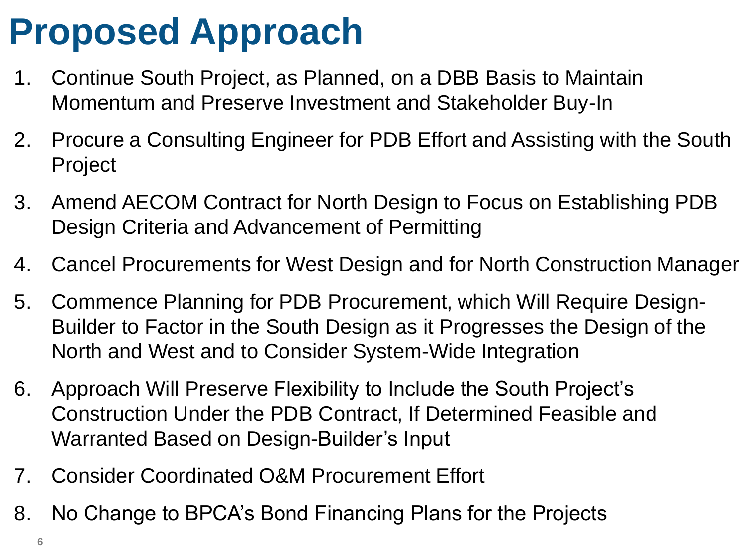### **Proposed Approach**

- 1. Continue South Project, as Planned, on a DBB Basis to Maintain Momentum and Preserve Investment and Stakeholder Buy-In
- 2. Procure a Consulting Engineer for PDB Effort and Assisting with the South Project
- 3. Amend AECOM Contract for North Design to Focus on Establishing PDB Design Criteria and Advancement of Permitting
- 4. Cancel Procurements for West Design and for North Construction Manager
- 5. Commence Planning for PDB Procurement, which Will Require Design-Builder to Factor in the South Design as it Progresses the Design of the North and West and to Consider System-Wide Integration
- 6. Approach Will Preserve Flexibility to Include the South Project's Construction Under the PDB Contract, If Determined Feasible and Warranted Based on Design-Builder's Input
- 7. Consider Coordinated O&M Procurement Effort
- 8. No Change to BPCA's Bond Financing Plans for the Projects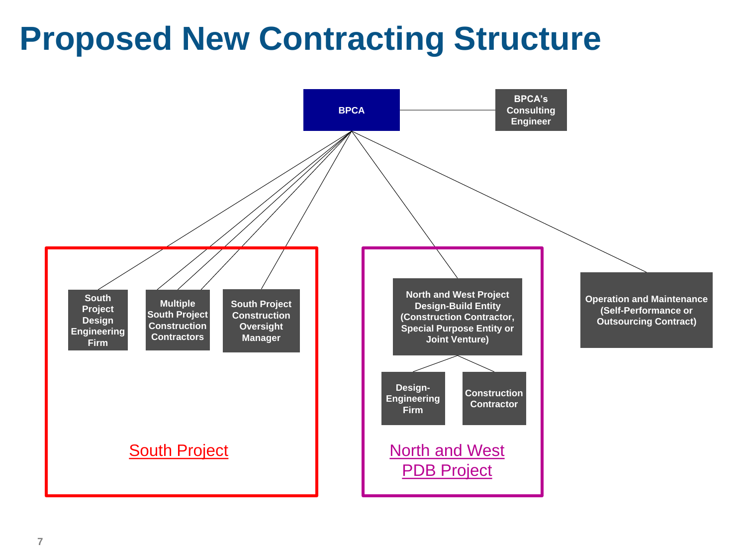#### **Proposed New Contracting Structure**

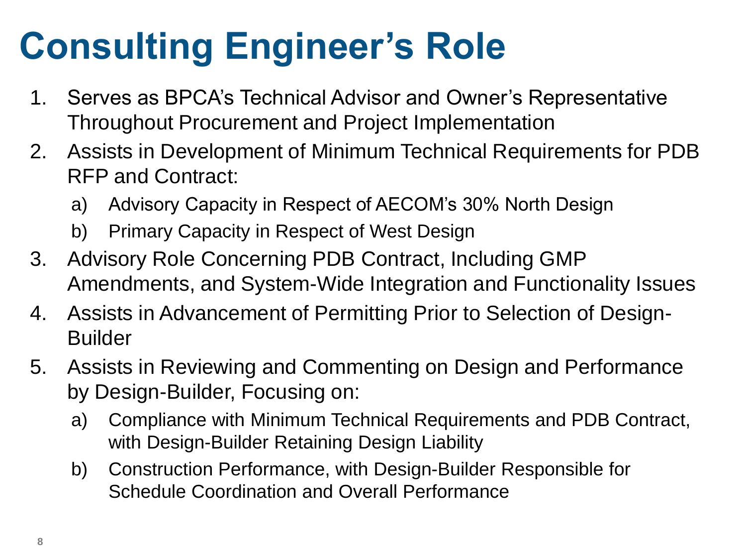### **Consulting Engineer's Role**

- 1. Serves as BPCA's Technical Advisor and Owner's Representative Throughout Procurement and Project Implementation
- 2. Assists in Development of Minimum Technical Requirements for PDB RFP and Contract:
	- a) Advisory Capacity in Respect of AECOM's 30% North Design
	- b) Primary Capacity in Respect of West Design
- 3. Advisory Role Concerning PDB Contract, Including GMP Amendments, and System-Wide Integration and Functionality Issues
- 4. Assists in Advancement of Permitting Prior to Selection of Design-Builder
- 5. Assists in Reviewing and Commenting on Design and Performance by Design-Builder, Focusing on:
	- a) Compliance with Minimum Technical Requirements and PDB Contract, with Design-Builder Retaining Design Liability
	- b) Construction Performance, with Design-Builder Responsible for Schedule Coordination and Overall Performance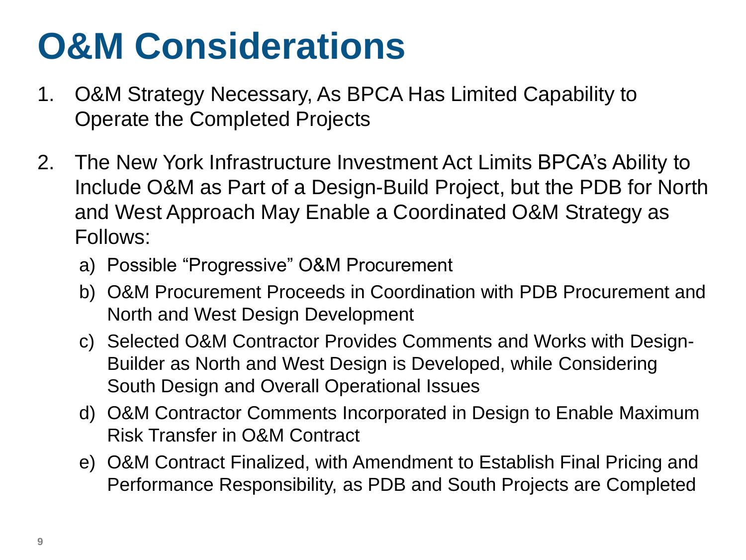### **O&M Considerations**

- 1. O&M Strategy Necessary, As BPCA Has Limited Capability to Operate the Completed Projects
- 2. The New York Infrastructure Investment Act Limits BPCA's Ability to Include O&M as Part of a Design-Build Project, but the PDB for North and West Approach May Enable a Coordinated O&M Strategy as Follows:
	- a) Possible "Progressive" O&M Procurement
	- b) O&M Procurement Proceeds in Coordination with PDB Procurement and North and West Design Development
	- c) Selected O&M Contractor Provides Comments and Works with Design-Builder as North and West Design is Developed, while Considering South Design and Overall Operational Issues
	- d) O&M Contractor Comments Incorporated in Design to Enable Maximum Risk Transfer in O&M Contract
	- e) O&M Contract Finalized, with Amendment to Establish Final Pricing and Performance Responsibility, as PDB and South Projects are Completed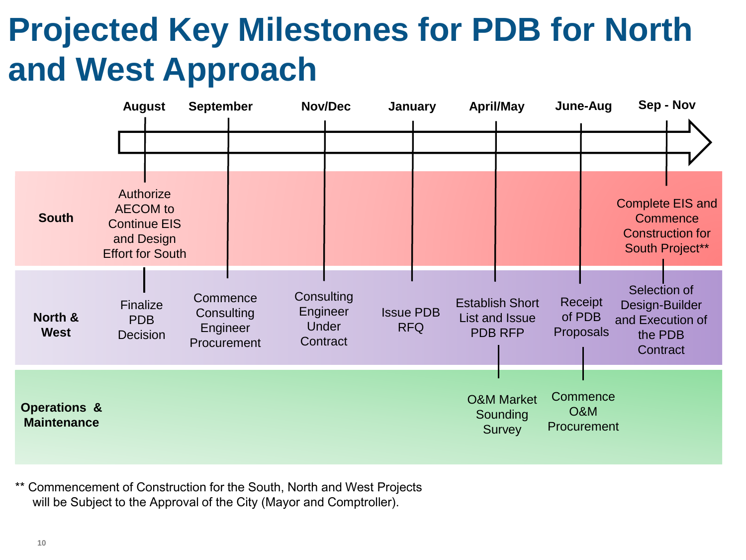#### **Projected Key Milestones for PDB for North and West Approach**



\*\* Commencement of Construction for the South, North and West Projects will be Subject to the Approval of the City (Mayor and Comptroller).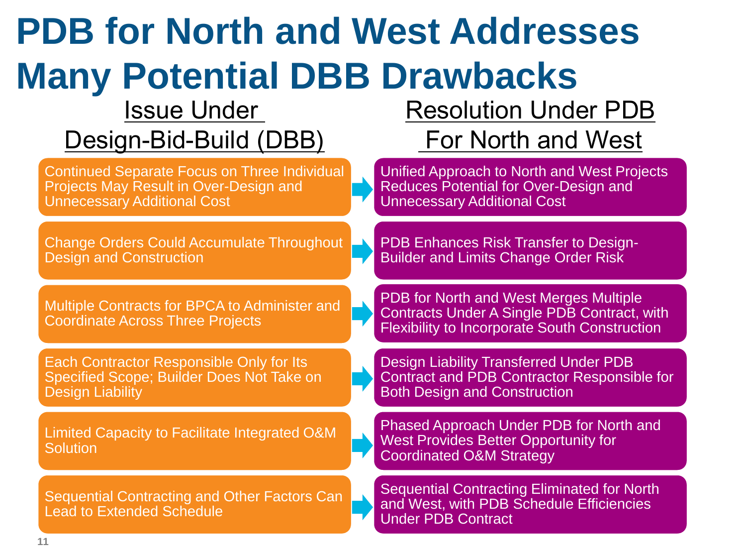| <b>PDB for North and West Addresses</b>                                                                                                    |                                                                                                                                               |
|--------------------------------------------------------------------------------------------------------------------------------------------|-----------------------------------------------------------------------------------------------------------------------------------------------|
| <b>Many Potential DBB Drawbacks</b>                                                                                                        |                                                                                                                                               |
| <b>Issue Under</b>                                                                                                                         | <b>Resolution Under PDB</b>                                                                                                                   |
| Design-Bid-Build (DBB)                                                                                                                     | For North and West                                                                                                                            |
| <b>Continued Separate Focus on Three Individual</b><br><b>Projects May Result in Over-Design and</b><br><b>Unnecessary Additional Cost</b> | Unified Approach to North and West Projects<br>Reduces Potential for Over-Design and<br><b>Unnecessary Additional Cost</b>                    |
| <b>Change Orders Could Accumulate Throughout</b><br><b>Design and Construction</b>                                                         | PDB Enhances Risk Transfer to Design-<br><b>Builder and Limits Change Order Risk</b>                                                          |
| Multiple Contracts for BPCA to Administer and<br><b>Coordinate Across Three Projects</b>                                                   | PDB for North and West Merges Multiple<br>Contracts Under A Single PDB Contract, with<br><b>Flexibility to Incorporate South Construction</b> |
| Each Contractor Responsible Only for Its<br>Specified Scope; Builder Does Not Take on<br><b>Design Liability</b>                           | <b>Design Liability Transferred Under PDB</b><br>Contract and PDB Contractor Responsible for<br><b>Both Design and Construction</b>           |
| Limited Capacity to Facilitate Integrated O&M<br><b>Solution</b>                                                                           | Phased Approach Under PDB for North and<br><b>West Provides Better Opportunity for</b><br><b>Coordinated O&amp;M Strategy</b>                 |
| <b>Sequential Contracting and Other Factors Can</b><br><b>Lead to Extended Schedule</b>                                                    | <b>Sequential Contracting Eliminated for North</b><br>and West, with PDB Schedule Efficiencies<br><b>Under PDB Contract</b>                   |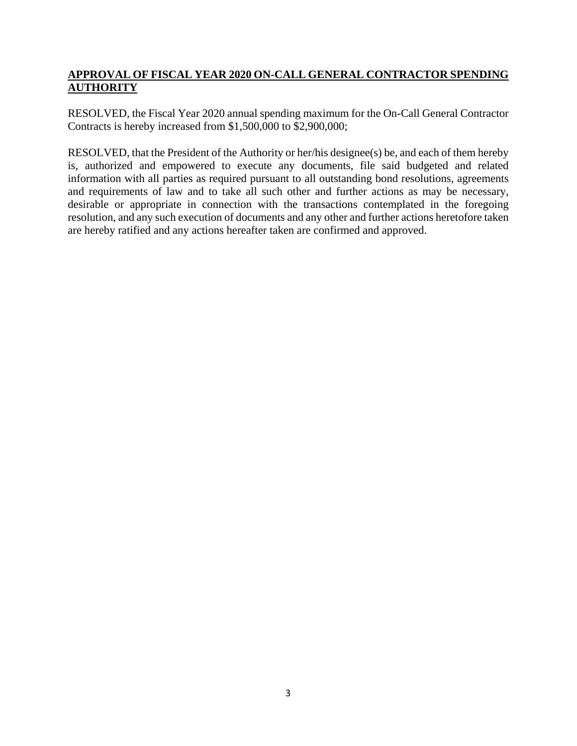#### **APPROVAL OF FISCAL YEAR 2020 ON-CALL GENERAL CONTRACTOR SPENDING AUTHORITY**

RESOLVED, the Fiscal Year 2020 annual spending maximum for the On-Call General Contractor Contracts is hereby increased from \$1,500,000 to \$2,900,000;

RESOLVED, that the President of the Authority or her/his designee(s) be, and each of them hereby is, authorized and empowered to execute any documents, file said budgeted and related information with all parties as required pursuant to all outstanding bond resolutions, agreements and requirements of law and to take all such other and further actions as may be necessary, desirable or appropriate in connection with the transactions contemplated in the foregoing resolution, and any such execution of documents and any other and further actions heretofore taken are hereby ratified and any actions hereafter taken are confirmed and approved.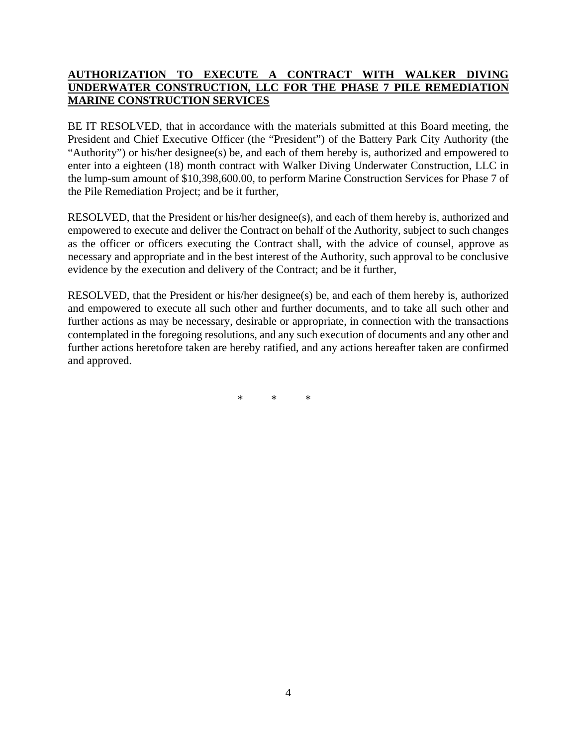#### **AUTHORIZATION TO EXECUTE A CONTRACT WITH WALKER DIVING UNDERWATER CONSTRUCTION, LLC FOR THE PHASE 7 PILE REMEDIATION MARINE CONSTRUCTION SERVICES**

BE IT RESOLVED, that in accordance with the materials submitted at this Board meeting, the President and Chief Executive Officer (the "President") of the Battery Park City Authority (the "Authority") or his/her designee(s) be, and each of them hereby is, authorized and empowered to enter into a eighteen (18) month contract with Walker Diving Underwater Construction, LLC in the lump-sum amount of \$10,398,600.00, to perform Marine Construction Services for Phase 7 of the Pile Remediation Project; and be it further,

RESOLVED, that the President or his/her designee(s), and each of them hereby is, authorized and empowered to execute and deliver the Contract on behalf of the Authority, subject to such changes as the officer or officers executing the Contract shall, with the advice of counsel, approve as necessary and appropriate and in the best interest of the Authority, such approval to be conclusive evidence by the execution and delivery of the Contract; and be it further,

RESOLVED, that the President or his/her designee(s) be, and each of them hereby is, authorized and empowered to execute all such other and further documents, and to take all such other and further actions as may be necessary, desirable or appropriate, in connection with the transactions contemplated in the foregoing resolutions, and any such execution of documents and any other and further actions heretofore taken are hereby ratified, and any actions hereafter taken are confirmed and approved.

\* \* \*